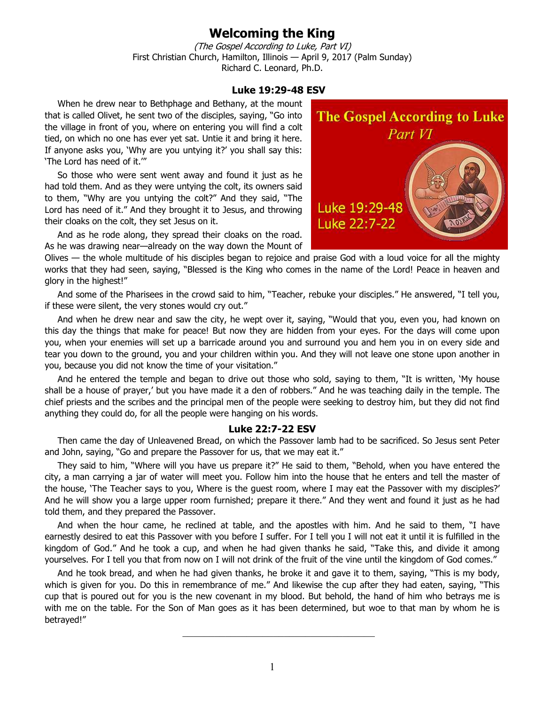## **Welcoming the King**

(The Gospel According to Luke, Part VI) First Christian Church, Hamilton, Illinois — April 9, 2017 (Palm Sunday) Richard C. Leonard, Ph.D.

## **Luke 19:29-48 ESV**

When he drew near to Bethphage and Bethany, at the mount that is called Olivet, he sent two of the disciples, saying, "Go into the village in front of you, where on entering you will find a colt tied, on which no one has ever yet sat. Untie it and bring it here. If anyone asks you, 'Why are you untying it?' you shall say this: 'The Lord has need of it.'"

So those who were sent went away and found it just as he had told them. And as they were untying the colt, its owners said to them, "Why are you untying the colt?" And they said, "The Lord has need of it." And they brought it to Jesus, and throwing their cloaks on the colt, they set Jesus on it.

And as he rode along, they spread their cloaks on the road. As he was drawing near—already on the way down the Mount of

Olives — the whole multitude of his disciples began to rejoice and praise God with a loud voice for all the mighty works that they had seen, saying, "Blessed is the King who comes in the name of the Lord! Peace in heaven and glory in the highest!"

And some of the Pharisees in the crowd said to him, "Teacher, rebuke your disciples." He answered, "I tell you, if these were silent, the very stones would cry out."

And when he drew near and saw the city, he wept over it, saying, "Would that you, even you, had known on this day the things that make for peace! But now they are hidden from your eyes. For the days will come upon you, when your enemies will set up a barricade around you and surround you and hem you in on every side and tear you down to the ground, you and your children within you. And they will not leave one stone upon another in you, because you did not know the time of your visitation."

And he entered the temple and began to drive out those who sold, saying to them, "It is written, 'My house shall be a house of prayer,' but you have made it a den of robbers." And he was teaching daily in the temple. The chief priests and the scribes and the principal men of the people were seeking to destroy him, but they did not find anything they could do, for all the people were hanging on his words.

## **Luke 22:7-22 ESV**

Then came the day of Unleavened Bread, on which the Passover lamb had to be sacrificed. So Jesus sent Peter and John, saying, "Go and prepare the Passover for us, that we may eat it."

They said to him, "Where will you have us prepare it?" He said to them, "Behold, when you have entered the city, a man carrying a jar of water will meet you. Follow him into the house that he enters and tell the master of the house, 'The Teacher says to you, Where is the guest room, where I may eat the Passover with my disciples?' And he will show you a large upper room furnished; prepare it there." And they went and found it just as he had told them, and they prepared the Passover.

And when the hour came, he reclined at table, and the apostles with him. And he said to them, "I have earnestly desired to eat this Passover with you before I suffer. For I tell you I will not eat it until it is fulfilled in the kingdom of God." And he took a cup, and when he had given thanks he said, "Take this, and divide it among yourselves. For I tell you that from now on I will not drink of the fruit of the vine until the kingdom of God comes."

And he took bread, and when he had given thanks, he broke it and gave it to them, saying, "This is my body, which is given for you. Do this in remembrance of me." And likewise the cup after they had eaten, saying, "This cup that is poured out for you is the new covenant in my blood. But behold, the hand of him who betrays me is with me on the table. For the Son of Man goes as it has been determined, but woe to that man by whom he is betrayed!"

 $\_$ 

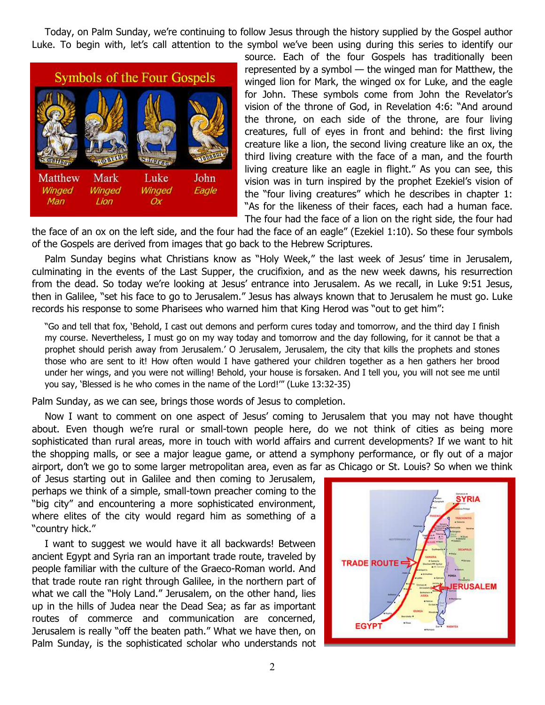Today, on Palm Sunday, we're continuing to follow Jesus through the history supplied by the Gospel author Luke. To begin with, let's call attention to the symbol we've been using during this series to identify our



source. Each of the four Gospels has traditionally been represented by a symbol — the winged man for Matthew, the winged lion for Mark, the winged ox for Luke, and the eagle for John. These symbols come from John the Revelator's vision of the throne of God, in Revelation 4:6: "And around the throne, on each side of the throne, are four living creatures, full of eyes in front and behind: the first living creature like a lion, the second living creature like an ox, the third living creature with the face of a man, and the fourth living creature like an eagle in flight." As you can see, this vision was in turn inspired by the prophet Ezekiel's vision of the "four living creatures" which he describes in chapter 1: "As for the likeness of their faces, each had a human face. The four had the face of a lion on the right side, the four had

the face of an ox on the left side, and the four had the face of an eagle" (Ezekiel 1:10). So these four symbols of the Gospels are derived from images that go back to the Hebrew Scriptures.

Palm Sunday begins what Christians know as "Holy Week," the last week of Jesus' time in Jerusalem, culminating in the events of the Last Supper, the crucifixion, and as the new week dawns, his resurrection from the dead. So today we're looking at Jesus' entrance into Jerusalem. As we recall, in Luke 9:51 Jesus, then in Galilee, "set his face to go to Jerusalem." Jesus has always known that to Jerusalem he must go. Luke records his response to some Pharisees who warned him that King Herod was "out to get him":

"Go and tell that fox, 'Behold, I cast out demons and perform cures today and tomorrow, and the third day I finish my course. Nevertheless, I must go on my way today and tomorrow and the day following, for it cannot be that a prophet should perish away from Jerusalem.' O Jerusalem, Jerusalem, the city that kills the prophets and stones those who are sent to it! How often would I have gathered your children together as a hen gathers her brood under her wings, and you were not willing! Behold, your house is forsaken. And I tell you, you will not see me until you say, 'Blessed is he who comes in the name of the Lord!'" (Luke 13:32-35)

Palm Sunday, as we can see, brings those words of Jesus to completion.

Now I want to comment on one aspect of Jesus' coming to Jerusalem that you may not have thought about. Even though we're rural or small-town people here, do we not think of cities as being more sophisticated than rural areas, more in touch with world affairs and current developments? If we want to hit the shopping malls, or see a major league game, or attend a symphony performance, or fly out of a major airport, don't we go to some larger metropolitan area, even as far as Chicago or St. Louis? So when we think

of Jesus starting out in Galilee and then coming to Jerusalem, perhaps we think of a simple, small-town preacher coming to the "big city" and encountering a more sophisticated environment, where elites of the city would regard him as something of a "country hick."

I want to suggest we would have it all backwards! Between ancient Egypt and Syria ran an important trade route, traveled by people familiar with the culture of the Graeco-Roman world. And that trade route ran right through Galilee, in the northern part of what we call the "Holy Land." Jerusalem, on the other hand, lies up in the hills of Judea near the Dead Sea; as far as important routes of commerce and communication are concerned, Jerusalem is really "off the beaten path." What we have then, on Palm Sunday, is the sophisticated scholar who understands not

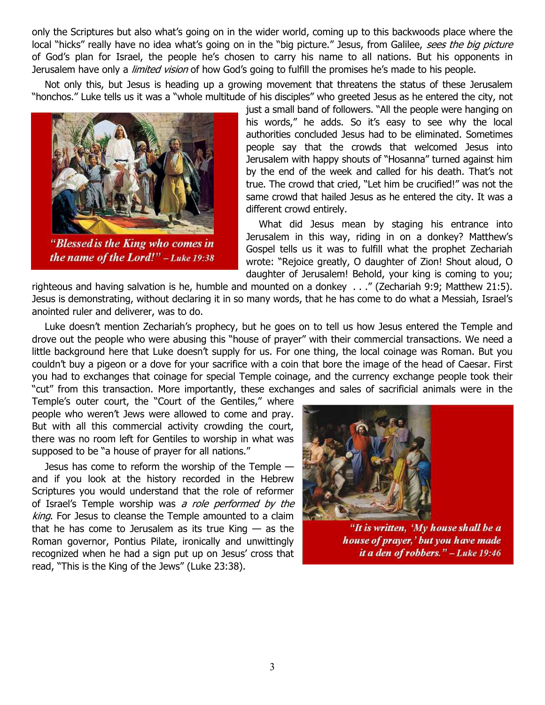only the Scriptures but also what's going on in the wider world, coming up to this backwoods place where the local "hicks" really have no idea what's going on in the "big picture." Jesus, from Galilee, sees the big picture of God's plan for Israel, the people he's chosen to carry his name to all nations. But his opponents in Jerusalem have only a *limited vision* of how God's going to fulfill the promises he's made to his people.

Not only this, but Jesus is heading up a growing movement that threatens the status of these Jerusalem "honchos." Luke tells us it was a "whole multitude of his disciples" who greeted Jesus as he entered the city, not



the name of the Lord!"  $-Luke 19:38$ 

just a small band of followers. "All the people were hanging on his words," he adds. So it's easy to see why the local authorities concluded Jesus had to be eliminated. Sometimes people say that the crowds that welcomed Jesus into Jerusalem with happy shouts of "Hosanna" turned against him by the end of the week and called for his death. That's not true. The crowd that cried, "Let him be crucified!" was not the same crowd that hailed Jesus as he entered the city. It was a different crowd entirely.

What did Jesus mean by staging his entrance into Jerusalem in this way, riding in on a donkey? Matthew's Gospel tells us it was to fulfill what the prophet Zechariah wrote: "Rejoice greatly, O daughter of Zion! Shout aloud, O daughter of Jerusalem! Behold, your king is coming to you;

righteous and having salvation is he, humble and mounted on a donkey . . ." (Zechariah 9:9; Matthew 21:5). Jesus is demonstrating, without declaring it in so many words, that he has come to do what a Messiah, Israel's anointed ruler and deliverer, was to do.

Luke doesn't mention Zechariah's prophecy, but he goes on to tell us how Jesus entered the Temple and drove out the people who were abusing this "house of prayer" with their commercial transactions. We need a little background here that Luke doesn't supply for us. For one thing, the local coinage was Roman. But you couldn't buy a pigeon or a dove for your sacrifice with a coin that bore the image of the head of Caesar. First you had to exchanges that coinage for special Temple coinage, and the currency exchange people took their "cut" from this transaction. More importantly, these exchanges and sales of sacrificial animals were in the

Temple's outer court, the "Court of the Gentiles," where people who weren't Jews were allowed to come and pray. But with all this commercial activity crowding the court, there was no room left for Gentiles to worship in what was supposed to be "a house of prayer for all nations."

Jesus has come to reform the worship of the Temple and if you look at the history recorded in the Hebrew Scriptures you would understand that the role of reformer of Israel's Temple worship was a role performed by the king. For Jesus to cleanse the Temple amounted to a claim that he has come to Jerusalem as its true King  $-$  as the Roman governor, Pontius Pilate, ironically and unwittingly recognized when he had a sign put up on Jesus' cross that read, "This is the King of the Jews" (Luke 23:38).



"It is written, 'My house shall be a house of prayer,' but you have made it a den of robbers." - Luke 19:46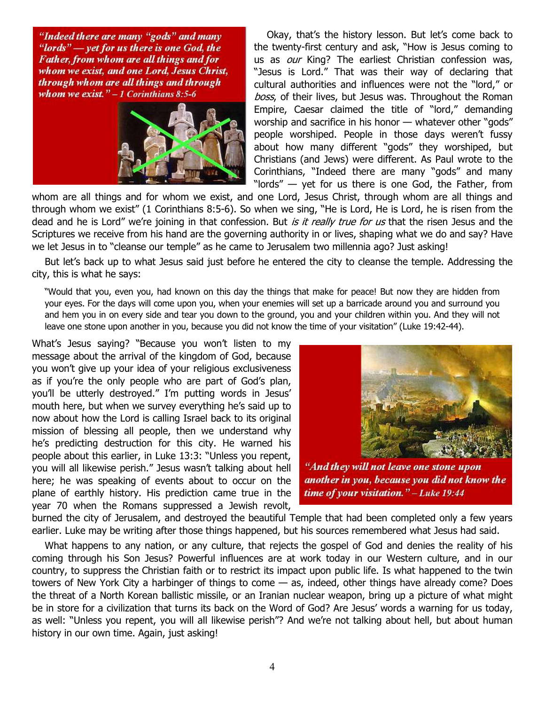"Indeed there are many "gods" and many "lords" — yet for us there is one God, the Father, from whom are all things and for whom we exist, and one Lord, Jesus Christ, through whom are all things and through whom we exist."  $-1$  Corinthians 8:5-6



Okay, that's the history lesson. But let's come back to the twenty-first century and ask, "How is Jesus coming to us as our King? The earliest Christian confession was, "Jesus is Lord." That was their way of declaring that cultural authorities and influences were not the "lord," or boss, of their lives, but Jesus was. Throughout the Roman Empire, Caesar claimed the title of "lord," demanding worship and sacrifice in his honor — whatever other "gods" people worshiped. People in those days weren't fussy about how many different "gods" they worshiped, but Christians (and Jews) were different. As Paul wrote to the Corinthians, "Indeed there are many "gods" and many "lords" — yet for us there is one God, the Father, from

whom are all things and for whom we exist, and one Lord, Jesus Christ, through whom are all things and through whom we exist" (1 Corinthians 8:5-6). So when we sing, "He is Lord, He is Lord, he is risen from the dead and he is Lord" we're joining in that confession. But is it really true for us that the risen Jesus and the Scriptures we receive from his hand are the governing authority in or lives, shaping what we do and say? Have we let Jesus in to "cleanse our temple" as he came to Jerusalem two millennia ago? Just asking!

But let's back up to what Jesus said just before he entered the city to cleanse the temple. Addressing the city, this is what he says:

"Would that you, even you, had known on this day the things that make for peace! But now they are hidden from your eyes. For the days will come upon you, when your enemies will set up a barricade around you and surround you and hem you in on every side and tear you down to the ground, you and your children within you. And they will not leave one stone upon another in you, because you did not know the time of your visitation" (Luke 19:42-44).

What's Jesus saying? "Because you won't listen to my message about the arrival of the kingdom of God, because you won't give up your idea of your religious exclusiveness as if you're the only people who are part of God's plan, you'll be utterly destroyed." I'm putting words in Jesus' mouth here, but when we survey everything he's said up to now about how the Lord is calling Israel back to its original mission of blessing all people, then we understand why he's predicting destruction for this city. He warned his people about this earlier, in Luke 13:3: "Unless you repent, you will all likewise perish." Jesus wasn't talking about hell here; he was speaking of events about to occur on the plane of earthly history. His prediction came true in the year 70 when the Romans suppressed a Jewish revolt,



"And they will not leave one stone upon another in you, because you did not know the time of your visitation." - Luke 19:44

burned the city of Jerusalem, and destroyed the beautiful Temple that had been completed only a few years earlier. Luke may be writing after those things happened, but his sources remembered what Jesus had said.

What happens to any nation, or any culture, that rejects the gospel of God and denies the reality of his coming through his Son Jesus? Powerful influences are at work today in our Western culture, and in our country, to suppress the Christian faith or to restrict its impact upon public life. Is what happened to the twin towers of New York City a harbinger of things to come — as, indeed, other things have already come? Does the threat of a North Korean ballistic missile, or an Iranian nuclear weapon, bring up a picture of what might be in store for a civilization that turns its back on the Word of God? Are Jesus' words a warning for us today, as well: "Unless you repent, you will all likewise perish"? And we're not talking about hell, but about human history in our own time. Again, just asking!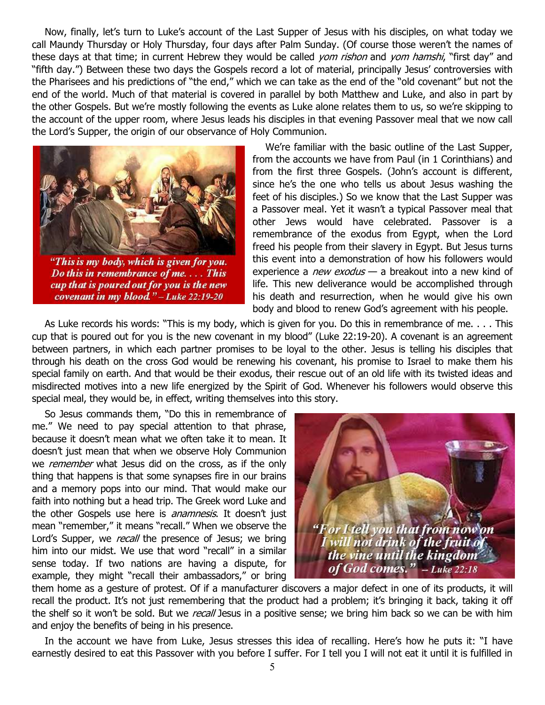Now, finally, let's turn to Luke's account of the Last Supper of Jesus with his disciples, on what today we call Maundy Thursday or Holy Thursday, four days after Palm Sunday. (Of course those weren't the names of these days at that time; in current Hebrew they would be called *yom rishon* and *yom hamshi*, "first day" and "fifth day.") Between these two days the Gospels record a lot of material, principally Jesus' controversies with the Pharisees and his predictions of "the end," which we can take as the end of the "old covenant" but not the end of the world. Much of that material is covered in parallel by both Matthew and Luke, and also in part by the other Gospels. But we're mostly following the events as Luke alone relates them to us, so we're skipping to the account of the upper room, where Jesus leads his disciples in that evening Passover meal that we now call the Lord's Supper, the origin of our observance of Holy Communion.



"This is my body, which is given for you. Do this in remembrance of me.... This cup that is poured out for you is the new covenant in my blood." - Luke 22:19-20

We're familiar with the basic outline of the Last Supper, from the accounts we have from Paul (in 1 Corinthians) and from the first three Gospels. (John's account is different, since he's the one who tells us about Jesus washing the feet of his disciples.) So we know that the Last Supper was a Passover meal. Yet it wasn't a typical Passover meal that other Jews would have celebrated. Passover is a remembrance of the exodus from Egypt, when the Lord freed his people from their slavery in Egypt. But Jesus turns this event into a demonstration of how his followers would experience a *new exodus*  $-$  a breakout into a new kind of life. This new deliverance would be accomplished through his death and resurrection, when he would give his own body and blood to renew God's agreement with his people.

As Luke records his words: "This is my body, which is given for you. Do this in remembrance of me. . . . This cup that is poured out for you is the new covenant in my blood" (Luke 22:19-20). A covenant is an agreement between partners, in which each partner promises to be loyal to the other. Jesus is telling his disciples that through his death on the cross God would be renewing his covenant, his promise to Israel to make them his special family on earth. And that would be their exodus, their rescue out of an old life with its twisted ideas and misdirected motives into a new life energized by the Spirit of God. Whenever his followers would observe this special meal, they would be, in effect, writing themselves into this story.

So Jesus commands them, "Do this in remembrance of me." We need to pay special attention to that phrase, because it doesn't mean what we often take it to mean. It doesn't just mean that when we observe Holy Communion we remember what Jesus did on the cross, as if the only thing that happens is that some synapses fire in our brains and a memory pops into our mind. That would make our faith into nothing but a head trip. The Greek word Luke and the other Gospels use here is *anamnesis*. It doesn't just mean "remember," it means "recall." When we observe the Lord's Supper, we recall the presence of Jesus; we bring him into our midst. We use that word "recall" in a similar sense today. If two nations are having a dispute, for example, they might "recall their ambassadors," or bring



them home as a gesture of protest. Of if a manufacturer discovers a major defect in one of its products, it will recall the product. It's not just remembering that the product had a problem; it's bringing it back, taking it off the shelf so it won't be sold. But we *recall* Jesus in a positive sense; we bring him back so we can be with him and enjoy the benefits of being in his presence.

In the account we have from Luke, Jesus stresses this idea of recalling. Here's how he puts it: "I have earnestly desired to eat this Passover with you before I suffer. For I tell you I will not eat it until it is fulfilled in